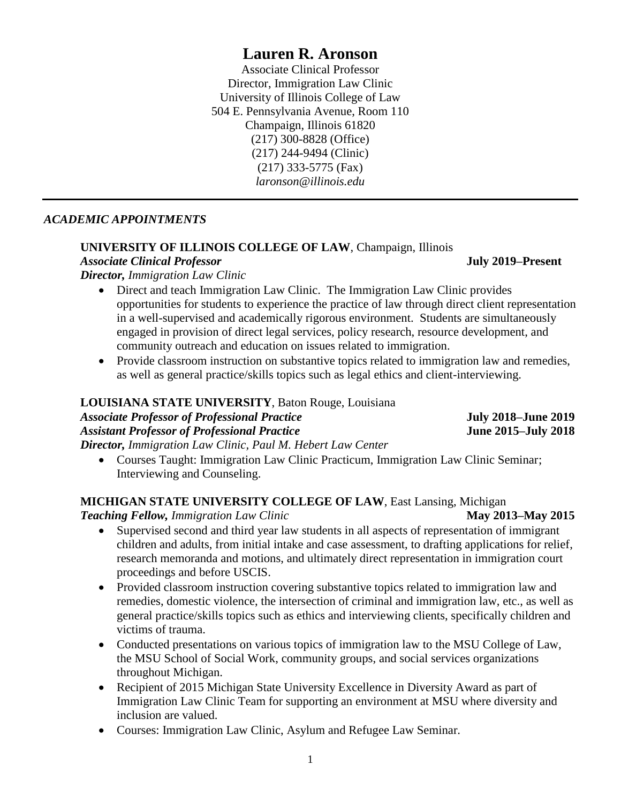# **Lauren R. Aronson**

Associate Clinical Professor Director, Immigration Law Clinic University of Illinois College of Law 504 E. Pennsylvania Avenue, Room 110 Champaign, Illinois 61820 (217) 300-8828 (Office) (217) 244-9494 (Clinic) (217) 333-5775 (Fax) *laronson@illinois.edu*

### *ACADEMIC APPOINTMENTS*

# **UNIVERSITY OF ILLINOIS COLLEGE OF LAW**, Champaign, Illinois

*Associate Clinical Professor* **July 2019–Present**

*Director, Immigration Law Clinic*

- Direct and teach Immigration Law Clinic. The Immigration Law Clinic provides opportunities for students to experience the practice of law through direct client representation in a well-supervised and academically rigorous environment. Students are simultaneously engaged in provision of direct legal services, policy research, resource development, and community outreach and education on issues related to immigration.
- Provide classroom instruction on substantive topics related to immigration law and remedies, as well as general practice/skills topics such as legal ethics and client-interviewing.

# **LOUISIANA STATE UNIVERSITY**, Baton Rouge, Louisiana

*Associate Professor of Professional Practice* **July 2018–June 2019** *Assistant Professor of Professional Practice* **June 2015–July 2018**

- *Director, Immigration Law Clinic, Paul M. Hebert Law Center* Courses Taught: Immigration Law Clinic Practicum, Immigration Law Clinic Seminar;
	- Interviewing and Counseling.

# **MICHIGAN STATE UNIVERSITY COLLEGE OF LAW**, East Lansing, Michigan

*Teaching Fellow, Immigration Law Clinic* **<b>May 2013–May 2015** 

- Supervised second and third year law students in all aspects of representation of immigrant children and adults, from initial intake and case assessment, to drafting applications for relief, research memoranda and motions, and ultimately direct representation in immigration court proceedings and before USCIS.
- Provided classroom instruction covering substantive topics related to immigration law and remedies, domestic violence, the intersection of criminal and immigration law, etc., as well as general practice/skills topics such as ethics and interviewing clients, specifically children and victims of trauma.
- Conducted presentations on various topics of immigration law to the MSU College of Law, the MSU School of Social Work, community groups, and social services organizations throughout Michigan.
- Recipient of 2015 Michigan State University Excellence in Diversity Award as part of Immigration Law Clinic Team for supporting an environment at MSU where diversity and inclusion are valued.
- Courses: Immigration Law Clinic, Asylum and Refugee Law Seminar.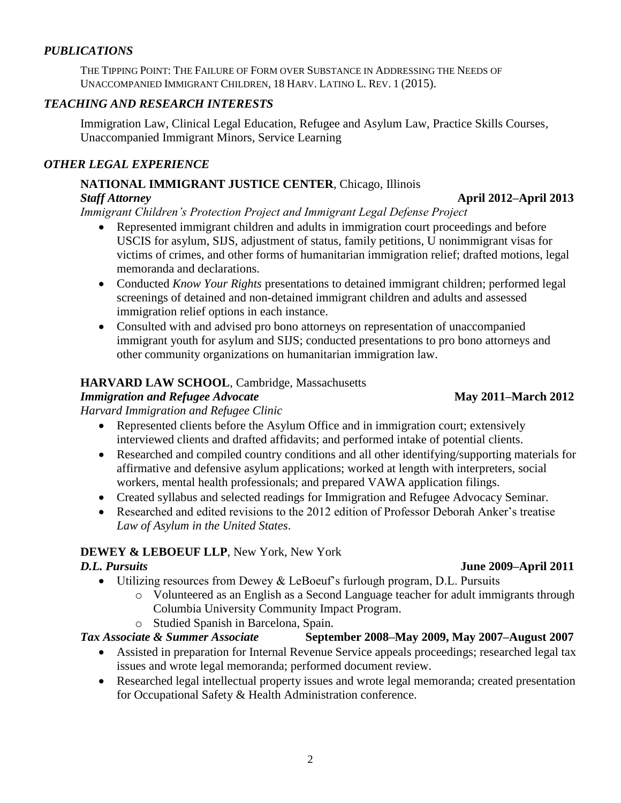# *PUBLICATIONS*

THE TIPPING POINT: THE FAILURE OF FORM OVER SUBSTANCE IN ADDRESSING THE NEEDS OF UNACCOMPANIED IMMIGRANT CHILDREN, 18 HARV. LATINO L. REV. 1 (2015).

# *TEACHING AND RESEARCH INTERESTS*

Immigration Law, Clinical Legal Education, Refugee and Asylum Law, Practice Skills Courses, Unaccompanied Immigrant Minors, Service Learning

# *OTHER LEGAL EXPERIENCE*

# **NATIONAL IMMIGRANT JUSTICE CENTER**, Chicago, Illinois

# *Staff Attorney* **April 2012–April 2013**

*Immigrant Children's Protection Project and Immigrant Legal Defense Project*

- Represented immigrant children and adults in immigration court proceedings and before USCIS for asylum, SIJS, adjustment of status, family petitions, U nonimmigrant visas for victims of crimes, and other forms of humanitarian immigration relief; drafted motions, legal memoranda and declarations.
- Conducted *Know Your Rights* presentations to detained immigrant children; performed legal screenings of detained and non-detained immigrant children and adults and assessed immigration relief options in each instance.
- Consulted with and advised pro bono attorneys on representation of unaccompanied immigrant youth for asylum and SIJS; conducted presentations to pro bono attorneys and other community organizations on humanitarian immigration law.

# **HARVARD LAW SCHOOL**, Cambridge, Massachusetts

# *Immigration and Refugee Advocate* May 2011–March 2012

*Harvard Immigration and Refugee Clinic* 

- Represented clients before the Asylum Office and in immigration court; extensively interviewed clients and drafted affidavits; and performed intake of potential clients.
- Researched and compiled country conditions and all other identifying/supporting materials for affirmative and defensive asylum applications; worked at length with interpreters, social workers, mental health professionals; and prepared VAWA application filings.
- Created syllabus and selected readings for Immigration and Refugee Advocacy Seminar.
- Researched and edited revisions to the 2012 edition of Professor Deborah Anker's treatise *Law of Asylum in the United States*.

# **DEWEY & LEBOEUF LLP**, New York, New York

- Utilizing resources from Dewey & LeBoeuf's furlough program, D.L. Pursuits
	- o Volunteered as an English as a Second Language teacher for adult immigrants through Columbia University Community Impact Program.
	- o Studied Spanish in Barcelona, Spain.

# *Tax Associate & Summer Associate* **September 2008–May 2009, May 2007–August 2007**

- Assisted in preparation for Internal Revenue Service appeals proceedings; researched legal tax issues and wrote legal memoranda; performed document review.
- Researched legal intellectual property issues and wrote legal memoranda; created presentation for Occupational Safety & Health Administration conference.

*D.L. Pursuits* **June 2009–April 2011**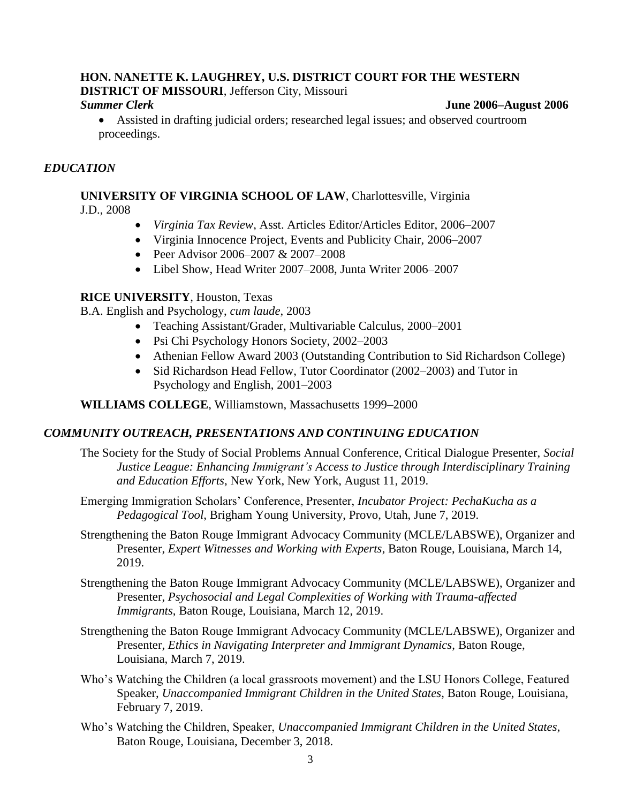# **HON. NANETTE K. LAUGHREY, U.S. DISTRICT COURT FOR THE WESTERN**

**DISTRICT OF MISSOURI**, Jefferson City, Missouri

### *Summer Clerk* **June 2006–August 2006**

 Assisted in drafting judicial orders; researched legal issues; and observed courtroom proceedings.

## *EDUCATION*

### **UNIVERSITY OF VIRGINIA SCHOOL OF LAW**, Charlottesville, Virginia J.D., 2008

- *Virginia Tax Review*, Asst. Articles Editor/Articles Editor, 2006–2007
- Virginia Innocence Project, Events and Publicity Chair, 2006–2007
- Peer Advisor 2006–2007 & 2007–2008
- Libel Show, Head Writer 2007–2008, Junta Writer 2006–2007

### **RICE UNIVERSITY**, Houston, Texas

B.A. English and Psychology, *cum laude*, 2003

- Teaching Assistant/Grader, Multivariable Calculus, 2000–2001
- Psi Chi Psychology Honors Society, 2002–2003
- Athenian Fellow Award 2003 (Outstanding Contribution to Sid Richardson College)
- Sid Richardson Head Fellow, Tutor Coordinator (2002–2003) and Tutor in Psychology and English, 2001–2003

**WILLIAMS COLLEGE**, Williamstown, Massachusetts 1999–2000

## *COMMUNITY OUTREACH, PRESENTATIONS AND CONTINUING EDUCATION*

- The Society for the Study of Social Problems Annual Conference, Critical Dialogue Presenter, *Social Justice League: Enhancing Immigrant's Access to Justice through Interdisciplinary Training and Education Efforts*, New York, New York, August 11, 2019.
- Emerging Immigration Scholars' Conference, Presenter, *Incubator Project: PechaKucha as a Pedagogical Tool*, Brigham Young University, Provo, Utah, June 7, 2019.
- Strengthening the Baton Rouge Immigrant Advocacy Community (MCLE/LABSWE), Organizer and Presenter, *Expert Witnesses and Working with Experts*, Baton Rouge, Louisiana, March 14, 2019.
- Strengthening the Baton Rouge Immigrant Advocacy Community (MCLE/LABSWE), Organizer and Presenter, *Psychosocial and Legal Complexities of Working with Trauma-affected Immigrants*, Baton Rouge, Louisiana, March 12, 2019.
- Strengthening the Baton Rouge Immigrant Advocacy Community (MCLE/LABSWE), Organizer and Presenter, *Ethics in Navigating Interpreter and Immigrant Dynamics*, Baton Rouge, Louisiana, March 7, 2019.
- Who's Watching the Children (a local grassroots movement) and the LSU Honors College, Featured Speaker, *Unaccompanied Immigrant Children in the United States*, Baton Rouge, Louisiana, February 7, 2019.
- Who's Watching the Children, Speaker, *Unaccompanied Immigrant Children in the United States*, Baton Rouge, Louisiana, December 3, 2018.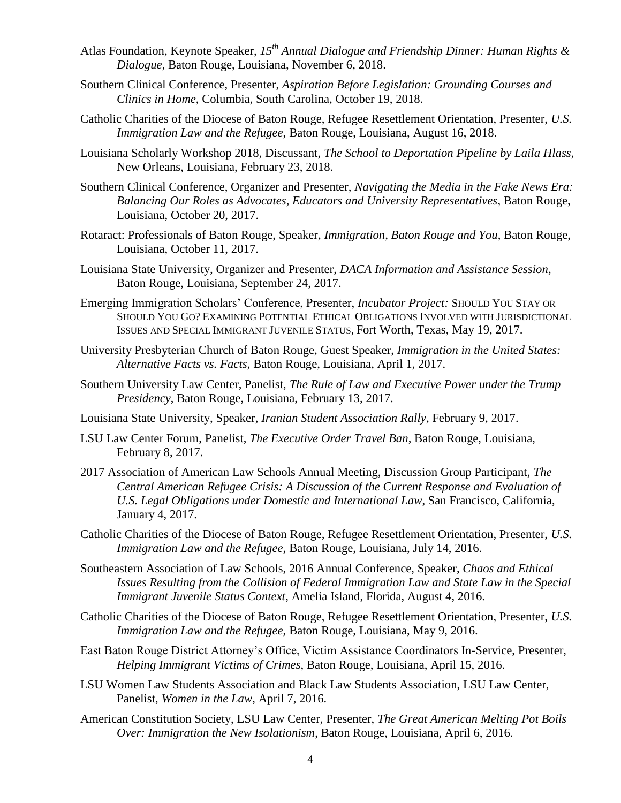- Atlas Foundation, Keynote Speaker, *15th Annual Dialogue and Friendship Dinner: Human Rights & Dialogue*, Baton Rouge, Louisiana, November 6, 2018.
- Southern Clinical Conference, Presenter, *Aspiration Before Legislation: Grounding Courses and Clinics in Home*, Columbia, South Carolina, October 19, 2018.
- Catholic Charities of the Diocese of Baton Rouge, Refugee Resettlement Orientation, Presenter, *U.S. Immigration Law and the Refugee*, Baton Rouge, Louisiana, August 16, 2018.
- Louisiana Scholarly Workshop 2018, Discussant, *The School to Deportation Pipeline by Laila Hlass*, New Orleans, Louisiana, February 23, 2018.
- Southern Clinical Conference, Organizer and Presenter, *Navigating the Media in the Fake News Era: Balancing Our Roles as Advocates, Educators and University Representatives*, Baton Rouge, Louisiana, October 20, 2017.
- Rotaract: Professionals of Baton Rouge, Speaker, *Immigration, Baton Rouge and You*, Baton Rouge, Louisiana, October 11, 2017.
- Louisiana State University, Organizer and Presenter, *DACA Information and Assistance Session*, Baton Rouge, Louisiana, September 24, 2017.
- Emerging Immigration Scholars' Conference, Presenter, *Incubator Project:* SHOULD YOU STAY OR SHOULD YOU GO? EXAMINING POTENTIAL ETHICAL OBLIGATIONS INVOLVED WITH JURISDICTIONAL ISSUES AND SPECIAL IMMIGRANT JUVENILE STATUS, Fort Worth, Texas, May 19, 2017.
- University Presbyterian Church of Baton Rouge, Guest Speaker, *Immigration in the United States: Alternative Facts vs. Facts*, Baton Rouge, Louisiana, April 1, 2017.
- Southern University Law Center, Panelist, *The Rule of Law and Executive Power under the Trump Presidency*, Baton Rouge, Louisiana, February 13, 2017.
- Louisiana State University, Speaker, *Iranian Student Association Rally*, February 9, 2017.
- LSU Law Center Forum, Panelist, *The Executive Order Travel Ban*, Baton Rouge, Louisiana, February 8, 2017.
- 2017 Association of American Law Schools Annual Meeting, Discussion Group Participant, *The Central American Refugee Crisis: A Discussion of the Current Response and Evaluation of U.S. Legal Obligations under Domestic and International Law*, San Francisco, California, January 4, 2017.
- Catholic Charities of the Diocese of Baton Rouge, Refugee Resettlement Orientation, Presenter, *U.S. Immigration Law and the Refugee*, Baton Rouge, Louisiana, July 14, 2016.
- Southeastern Association of Law Schools, 2016 Annual Conference, Speaker, *Chaos and Ethical Issues Resulting from the Collision of Federal Immigration Law and State Law in the Special Immigrant Juvenile Status Context*, Amelia Island, Florida, August 4, 2016.
- Catholic Charities of the Diocese of Baton Rouge, Refugee Resettlement Orientation, Presenter, *U.S. Immigration Law and the Refugee*, Baton Rouge, Louisiana, May 9, 2016.
- East Baton Rouge District Attorney's Office, Victim Assistance Coordinators In-Service, Presenter, *Helping Immigrant Victims of Crimes*, Baton Rouge, Louisiana, April 15, 2016.
- LSU Women Law Students Association and Black Law Students Association, LSU Law Center, Panelist, *Women in the Law*, April 7, 2016.
- American Constitution Society, LSU Law Center, Presenter, *The Great American Melting Pot Boils Over: Immigration the New Isolationism*, Baton Rouge, Louisiana, April 6, 2016.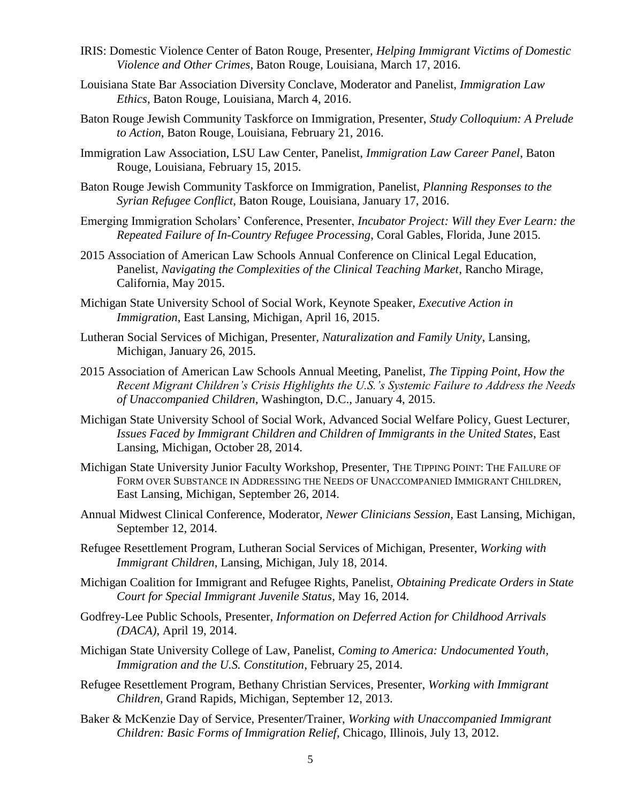- IRIS: Domestic Violence Center of Baton Rouge, Presenter, *Helping Immigrant Victims of Domestic Violence and Other Crimes*, Baton Rouge, Louisiana, March 17, 2016.
- Louisiana State Bar Association Diversity Conclave, Moderator and Panelist, *Immigration Law Ethics*, Baton Rouge, Louisiana, March 4, 2016.
- Baton Rouge Jewish Community Taskforce on Immigration, Presenter, *Study Colloquium: A Prelude to Action*, Baton Rouge, Louisiana, February 21, 2016.
- Immigration Law Association, LSU Law Center, Panelist, *Immigration Law Career Panel*, Baton Rouge, Louisiana, February 15, 2015.
- Baton Rouge Jewish Community Taskforce on Immigration, Panelist, *Planning Responses to the Syrian Refugee Conflict*, Baton Rouge, Louisiana, January 17, 2016.
- Emerging Immigration Scholars' Conference, Presenter, *Incubator Project: Will they Ever Learn: the Repeated Failure of In-Country Refugee Processing*, Coral Gables, Florida, June 2015.
- 2015 Association of American Law Schools Annual Conference on Clinical Legal Education, Panelist, *Navigating the Complexities of the Clinical Teaching Market*, Rancho Mirage, California, May 2015.
- Michigan State University School of Social Work, Keynote Speaker, *Executive Action in Immigration*, East Lansing, Michigan, April 16, 2015.
- Lutheran Social Services of Michigan, Presenter, *Naturalization and Family Unity*, Lansing, Michigan, January 26, 2015.
- 2015 Association of American Law Schools Annual Meeting, Panelist, *The Tipping Point, How the Recent Migrant Children's Crisis Highlights the U.S.'s Systemic Failure to Address the Needs of Unaccompanied Children*, Washington, D.C., January 4, 2015.
- Michigan State University School of Social Work, Advanced Social Welfare Policy, Guest Lecturer, *Issues Faced by Immigrant Children and Children of Immigrants in the United States*, East Lansing, Michigan, October 28, 2014.
- Michigan State University Junior Faculty Workshop, Presenter, THE TIPPING POINT: THE FAILURE OF FORM OVER SUBSTANCE IN ADDRESSING THE NEEDS OF UNACCOMPANIED IMMIGRANT CHILDREN, East Lansing, Michigan, September 26, 2014.
- Annual Midwest Clinical Conference, Moderator, *Newer Clinicians Session*, East Lansing, Michigan, September 12, 2014.
- Refugee Resettlement Program, Lutheran Social Services of Michigan, Presenter, *Working with Immigrant Children*, Lansing, Michigan, July 18, 2014.
- Michigan Coalition for Immigrant and Refugee Rights, Panelist, *Obtaining Predicate Orders in State Court for Special Immigrant Juvenile Status*, May 16, 2014.
- Godfrey-Lee Public Schools, Presenter, *Information on Deferred Action for Childhood Arrivals (DACA)*, April 19, 2014.
- Michigan State University College of Law, Panelist, *Coming to America: Undocumented Youth, Immigration and the U.S. Constitution*, February 25, 2014.
- Refugee Resettlement Program, Bethany Christian Services, Presenter, *Working with Immigrant Children*, Grand Rapids, Michigan, September 12, 2013.
- Baker & McKenzie Day of Service, Presenter/Trainer, *Working with Unaccompanied Immigrant Children: Basic Forms of Immigration Relief*, Chicago, Illinois, July 13, 2012.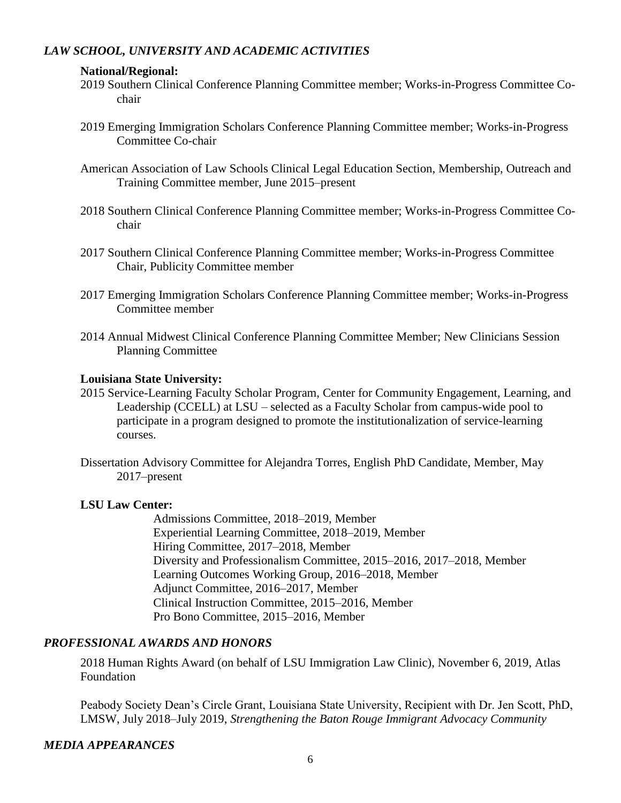## *LAW SCHOOL, UNIVERSITY AND ACADEMIC ACTIVITIES*

### **National/Regional:**

- 2019 Southern Clinical Conference Planning Committee member; Works-in-Progress Committee Cochair
- 2019 Emerging Immigration Scholars Conference Planning Committee member; Works-in-Progress Committee Co-chair
- American Association of Law Schools Clinical Legal Education Section, Membership, Outreach and Training Committee member, June 2015–present
- 2018 Southern Clinical Conference Planning Committee member; Works-in-Progress Committee Cochair
- 2017 Southern Clinical Conference Planning Committee member; Works-in-Progress Committee Chair, Publicity Committee member
- 2017 Emerging Immigration Scholars Conference Planning Committee member; Works-in-Progress Committee member
- 2014 Annual Midwest Clinical Conference Planning Committee Member; New Clinicians Session Planning Committee

### **Louisiana State University:**

- 2015 Service-Learning Faculty Scholar Program, Center for Community Engagement, Learning, and Leadership (CCELL) at LSU – selected as a Faculty Scholar from campus-wide pool to participate in a program designed to promote the institutionalization of service-learning courses.
- Dissertation Advisory Committee for Alejandra Torres, English PhD Candidate, Member, May 2017–present

### **LSU Law Center:**

Admissions Committee, 2018–2019, Member Experiential Learning Committee, 2018–2019, Member Hiring Committee, 2017–2018, Member Diversity and Professionalism Committee, 2015–2016, 2017–2018, Member Learning Outcomes Working Group, 2016–2018, Member Adjunct Committee, 2016–2017, Member Clinical Instruction Committee, 2015–2016, Member Pro Bono Committee, 2015–2016, Member

### *PROFESSIONAL AWARDS AND HONORS*

2018 Human Rights Award (on behalf of LSU Immigration Law Clinic), November 6, 2019, Atlas Foundation

Peabody Society Dean's Circle Grant, Louisiana State University, Recipient with Dr. Jen Scott, PhD, LMSW, July 2018–July 2019, *Strengthening the Baton Rouge Immigrant Advocacy Community*

### *MEDIA APPEARANCES*